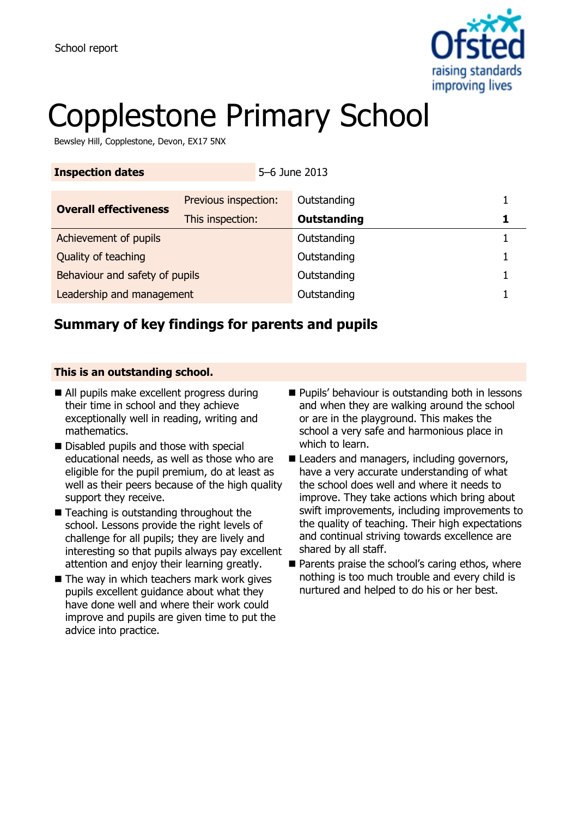

# Copplestone Primary School

Bewsley Hill, Copplestone, Devon, EX17 5NX

| <b>Inspection dates</b>        |                      | 5-6 June 2013      |  |
|--------------------------------|----------------------|--------------------|--|
| <b>Overall effectiveness</b>   | Previous inspection: | Outstanding        |  |
|                                | This inspection:     | <b>Outstanding</b> |  |
| Achievement of pupils          |                      | Outstanding        |  |
| Quality of teaching            |                      | Outstanding        |  |
| Behaviour and safety of pupils |                      | Outstanding        |  |
| Leadership and management      |                      | Outstanding        |  |

### **Summary of key findings for parents and pupils**

### **This is an outstanding school.**

- All pupils make excellent progress during their time in school and they achieve exceptionally well in reading, writing and mathematics.
- Disabled pupils and those with special educational needs, as well as those who are eligible for the pupil premium, do at least as well as their peers because of the high quality support they receive.
- Teaching is outstanding throughout the school. Lessons provide the right levels of challenge for all pupils; they are lively and interesting so that pupils always pay excellent attention and enjoy their learning greatly.
- $\blacksquare$  The way in which teachers mark work gives pupils excellent guidance about what they have done well and where their work could improve and pupils are given time to put the advice into practice.
- **Pupils' behaviour is outstanding both in lessons** and when they are walking around the school or are in the playground. This makes the school a very safe and harmonious place in which to learn.
- Leaders and managers, including governors, have a very accurate understanding of what the school does well and where it needs to improve. They take actions which bring about swift improvements, including improvements to the quality of teaching. Their high expectations and continual striving towards excellence are shared by all staff.
- $\blacksquare$  Parents praise the school's caring ethos, where nothing is too much trouble and every child is nurtured and helped to do his or her best.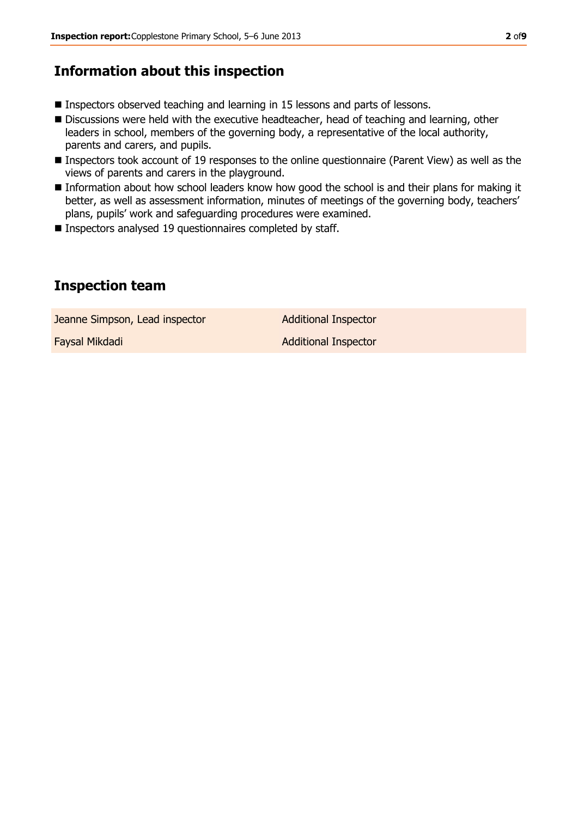### **Information about this inspection**

- **Inspectors observed teaching and learning in 15 lessons and parts of lessons.**
- Discussions were held with the executive headteacher, head of teaching and learning, other leaders in school, members of the governing body, a representative of the local authority, parents and carers, and pupils.
- Inspectors took account of 19 responses to the online questionnaire (Parent View) as well as the views of parents and carers in the playground.
- Information about how school leaders know how good the school is and their plans for making it better, as well as assessment information, minutes of meetings of the governing body, teachers' plans, pupils' work and safeguarding procedures were examined.
- Inspectors analysed 19 questionnaires completed by staff.

### **Inspection team**

Jeanne Simpson, Lead inspector **Additional Inspector** 

**Faysal Mikdadi Additional Inspector**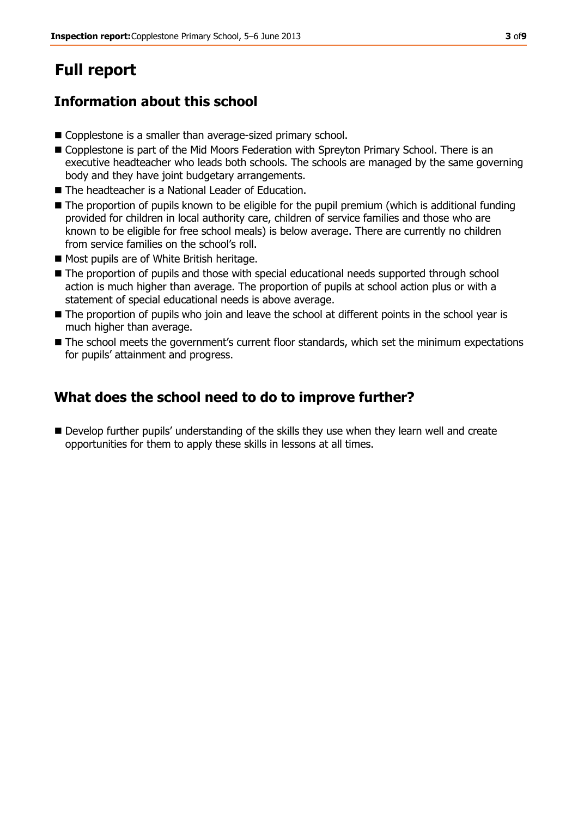## **Full report**

### **Information about this school**

- Copplestone is a smaller than average-sized primary school.
- Copplestone is part of the Mid Moors Federation with Spreyton Primary School. There is an executive headteacher who leads both schools. The schools are managed by the same governing body and they have joint budgetary arrangements.
- The headteacher is a National Leader of Education.
- The proportion of pupils known to be eligible for the pupil premium (which is additional funding provided for children in local authority care, children of service families and those who are known to be eligible for free school meals) is below average. There are currently no children from service families on the school's roll.
- Most pupils are of White British heritage.
- $\blacksquare$  The proportion of pupils and those with special educational needs supported through school action is much higher than average. The proportion of pupils at school action plus or with a statement of special educational needs is above average.
- The proportion of pupils who join and leave the school at different points in the school year is much higher than average.
- $\blacksquare$  The school meets the government's current floor standards, which set the minimum expectations for pupils' attainment and progress.

### **What does the school need to do to improve further?**

Develop further pupils' understanding of the skills they use when they learn well and create opportunities for them to apply these skills in lessons at all times.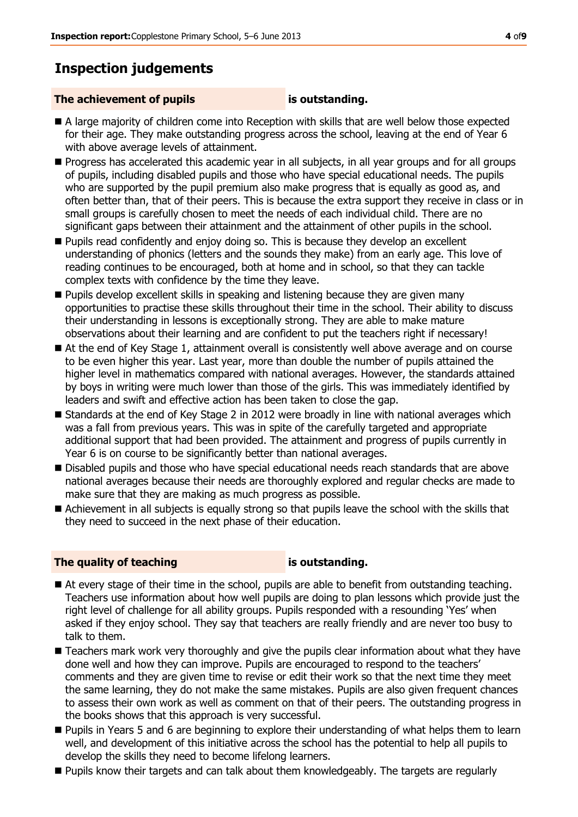### **Inspection judgements**

#### **The achievement of pupils is outstanding.**

- A large majority of children come into Reception with skills that are well below those expected for their age. They make outstanding progress across the school, leaving at the end of Year 6 with above average levels of attainment.
- **Progress has accelerated this academic year in all subjects, in all year groups and for all groups** of pupils, including disabled pupils and those who have special educational needs. The pupils who are supported by the pupil premium also make progress that is equally as good as, and often better than, that of their peers. This is because the extra support they receive in class or in small groups is carefully chosen to meet the needs of each individual child. There are no significant gaps between their attainment and the attainment of other pupils in the school.
- **Pupils read confidently and enjoy doing so. This is because they develop an excellent** understanding of phonics (letters and the sounds they make) from an early age. This love of reading continues to be encouraged, both at home and in school, so that they can tackle complex texts with confidence by the time they leave.
- **Pupils develop excellent skills in speaking and listening because they are given many** opportunities to practise these skills throughout their time in the school. Their ability to discuss their understanding in lessons is exceptionally strong. They are able to make mature observations about their learning and are confident to put the teachers right if necessary!
- At the end of Key Stage 1, attainment overall is consistently well above average and on course to be even higher this year. Last year, more than double the number of pupils attained the higher level in mathematics compared with national averages. However, the standards attained by boys in writing were much lower than those of the girls. This was immediately identified by leaders and swift and effective action has been taken to close the gap.
- Standards at the end of Key Stage 2 in 2012 were broadly in line with national averages which was a fall from previous years. This was in spite of the carefully targeted and appropriate additional support that had been provided. The attainment and progress of pupils currently in Year 6 is on course to be significantly better than national averages.
- **Disabled pupils and those who have special educational needs reach standards that are above** national averages because their needs are thoroughly explored and regular checks are made to make sure that they are making as much progress as possible.
- Achievement in all subjects is equally strong so that pupils leave the school with the skills that they need to succeed in the next phase of their education.

### **The quality of teaching is outstanding.**

- At every stage of their time in the school, pupils are able to benefit from outstanding teaching. Teachers use information about how well pupils are doing to plan lessons which provide just the right level of challenge for all ability groups. Pupils responded with a resounding 'Yes' when asked if they enjoy school. They say that teachers are really friendly and are never too busy to talk to them.
- **Teachers mark work very thoroughly and give the pupils clear information about what they have** done well and how they can improve. Pupils are encouraged to respond to the teachers' comments and they are given time to revise or edit their work so that the next time they meet the same learning, they do not make the same mistakes. Pupils are also given frequent chances to assess their own work as well as comment on that of their peers. The outstanding progress in the books shows that this approach is very successful.
- **Pupils in Years 5 and 6 are beginning to explore their understanding of what helps them to learn** well, and development of this initiative across the school has the potential to help all pupils to develop the skills they need to become lifelong learners.
- Pupils know their targets and can talk about them knowledgeably. The targets are regularly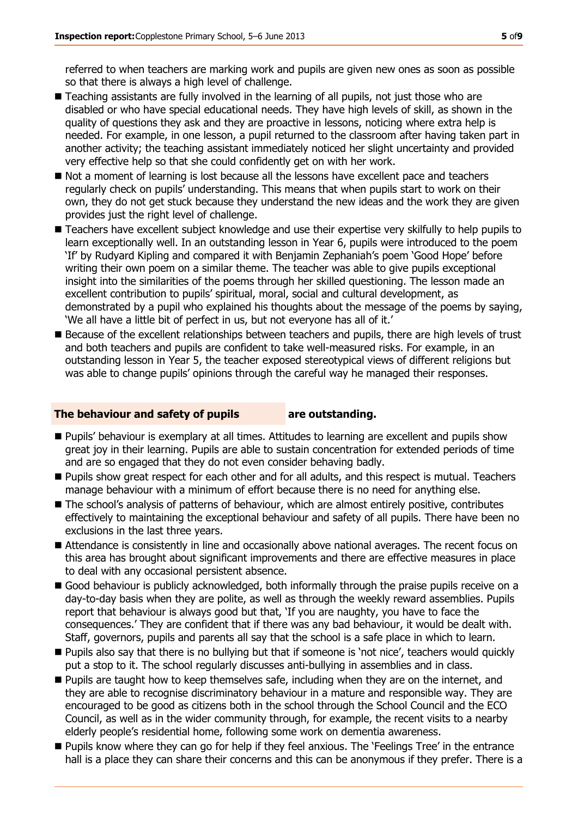referred to when teachers are marking work and pupils are given new ones as soon as possible so that there is always a high level of challenge.

- Teaching assistants are fully involved in the learning of all pupils, not just those who are disabled or who have special educational needs. They have high levels of skill, as shown in the quality of questions they ask and they are proactive in lessons, noticing where extra help is needed. For example, in one lesson, a pupil returned to the classroom after having taken part in another activity; the teaching assistant immediately noticed her slight uncertainty and provided very effective help so that she could confidently get on with her work.
- Not a moment of learning is lost because all the lessons have excellent pace and teachers regularly check on pupils' understanding. This means that when pupils start to work on their own, they do not get stuck because they understand the new ideas and the work they are given provides just the right level of challenge.
- Teachers have excellent subject knowledge and use their expertise very skilfully to help pupils to learn exceptionally well. In an outstanding lesson in Year 6, pupils were introduced to the poem 'If' by Rudyard Kipling and compared it with Benjamin Zephaniah's poem 'Good Hope' before writing their own poem on a similar theme. The teacher was able to give pupils exceptional insight into the similarities of the poems through her skilled questioning. The lesson made an excellent contribution to pupils' spiritual, moral, social and cultural development, as demonstrated by a pupil who explained his thoughts about the message of the poems by saying, 'We all have a little bit of perfect in us, but not everyone has all of it.'
- Because of the excellent relationships between teachers and pupils, there are high levels of trust and both teachers and pupils are confident to take well-measured risks. For example, in an outstanding lesson in Year 5, the teacher exposed stereotypical views of different religions but was able to change pupils' opinions through the careful way he managed their responses.

#### **The behaviour and safety of pupils are outstanding.**

- **Pupils' behaviour is exemplary at all times. Attitudes to learning are excellent and pupils show** great joy in their learning. Pupils are able to sustain concentration for extended periods of time and are so engaged that they do not even consider behaving badly.
- **Pupils show great respect for each other and for all adults, and this respect is mutual. Teachers** manage behaviour with a minimum of effort because there is no need for anything else.
- The school's analysis of patterns of behaviour, which are almost entirely positive, contributes effectively to maintaining the exceptional behaviour and safety of all pupils. There have been no exclusions in the last three years.
- Attendance is consistently in line and occasionally above national averages. The recent focus on this area has brought about significant improvements and there are effective measures in place to deal with any occasional persistent absence.
- Good behaviour is publicly acknowledged, both informally through the praise pupils receive on a day-to-day basis when they are polite, as well as through the weekly reward assemblies. Pupils report that behaviour is always good but that, 'If you are naughty, you have to face the consequences.' They are confident that if there was any bad behaviour, it would be dealt with. Staff, governors, pupils and parents all say that the school is a safe place in which to learn.
- Pupils also say that there is no bullying but that if someone is 'not nice', teachers would quickly put a stop to it. The school regularly discusses anti-bullying in assemblies and in class.
- **Pupils are taught how to keep themselves safe, including when they are on the internet, and** they are able to recognise discriminatory behaviour in a mature and responsible way. They are encouraged to be good as citizens both in the school through the School Council and the ECO Council, as well as in the wider community through, for example, the recent visits to a nearby elderly people's residential home, following some work on dementia awareness.
- **Pupils know where they can go for help if they feel anxious. The 'Feelings Tree' in the entrance** hall is a place they can share their concerns and this can be anonymous if they prefer. There is a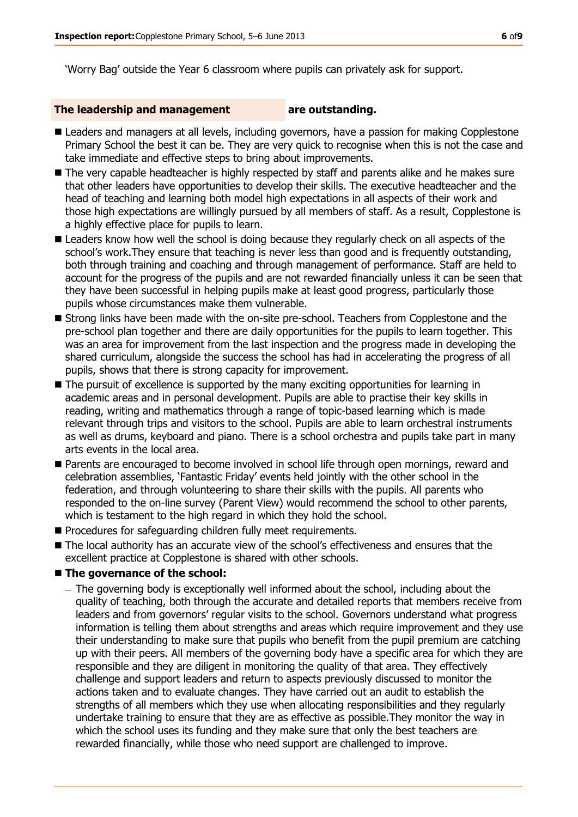'Worry Bag' outside the Year 6 classroom where pupils can privately ask for support.

#### **The leadership and management are outstanding.**

- **E** Leaders and managers at all levels, including governors, have a passion for making Copplestone Primary School the best it can be. They are very quick to recognise when this is not the case and take immediate and effective steps to bring about improvements.
- The very capable headteacher is highly respected by staff and parents alike and he makes sure that other leaders have opportunities to develop their skills. The executive headteacher and the head of teaching and learning both model high expectations in all aspects of their work and those high expectations are willingly pursued by all members of staff. As a result, Copplestone is a highly effective place for pupils to learn.
- Leaders know how well the school is doing because they regularly check on all aspects of the school's work.They ensure that teaching is never less than good and is frequently outstanding, both through training and coaching and through management of performance. Staff are held to account for the progress of the pupils and are not rewarded financially unless it can be seen that they have been successful in helping pupils make at least good progress, particularly those pupils whose circumstances make them vulnerable.
- **Strong links have been made with the on-site pre-school. Teachers from Copplestone and the** pre-school plan together and there are daily opportunities for the pupils to learn together. This was an area for improvement from the last inspection and the progress made in developing the shared curriculum, alongside the success the school has had in accelerating the progress of all pupils, shows that there is strong capacity for improvement.
- The pursuit of excellence is supported by the many exciting opportunities for learning in academic areas and in personal development. Pupils are able to practise their key skills in reading, writing and mathematics through a range of topic-based learning which is made relevant through trips and visitors to the school. Pupils are able to learn orchestral instruments as well as drums, keyboard and piano. There is a school orchestra and pupils take part in many arts events in the local area.
- **Parents are encouraged to become involved in school life through open mornings, reward and** celebration assemblies, 'Fantastic Friday' events held jointly with the other school in the federation, and through volunteering to share their skills with the pupils. All parents who responded to the on-line survey (Parent View) would recommend the school to other parents, which is testament to the high regard in which they hold the school.
- **Procedures for safequarding children fully meet requirements.**
- The local authority has an accurate view of the school's effectiveness and ensures that the excellent practice at Copplestone is shared with other schools.

#### ■ The governance of the school:

- The governing body is exceptionally well informed about the school, including about the quality of teaching, both through the accurate and detailed reports that members receive from leaders and from governors' regular visits to the school. Governors understand what progress information is telling them about strengths and areas which require improvement and they use their understanding to make sure that pupils who benefit from the pupil premium are catching up with their peers. All members of the governing body have a specific area for which they are responsible and they are diligent in monitoring the quality of that area. They effectively challenge and support leaders and return to aspects previously discussed to monitor the actions taken and to evaluate changes. They have carried out an audit to establish the strengths of all members which they use when allocating responsibilities and they regularly undertake training to ensure that they are as effective as possible.They monitor the way in which the school uses its funding and they make sure that only the best teachers are rewarded financially, while those who need support are challenged to improve.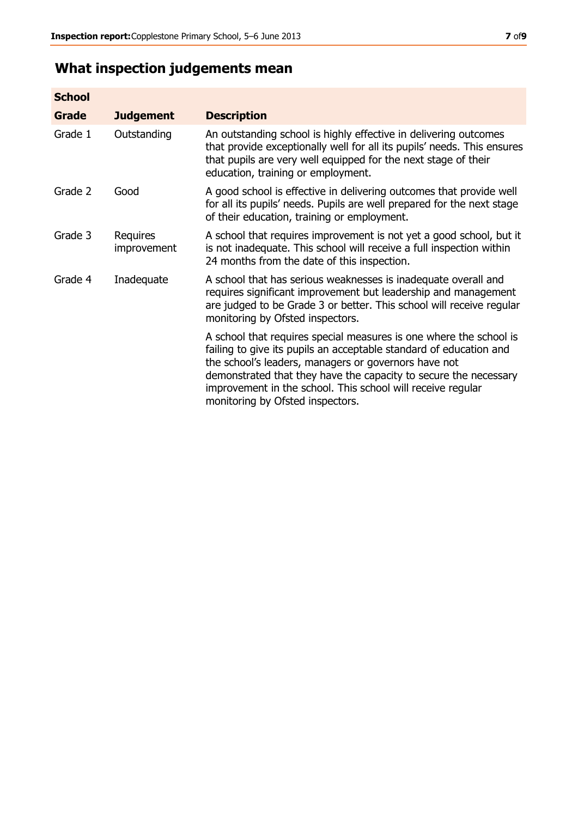## **What inspection judgements mean**

| <b>School</b> |                         |                                                                                                                                                                                                                                                                                                                                                                         |
|---------------|-------------------------|-------------------------------------------------------------------------------------------------------------------------------------------------------------------------------------------------------------------------------------------------------------------------------------------------------------------------------------------------------------------------|
| Grade         | <b>Judgement</b>        | <b>Description</b>                                                                                                                                                                                                                                                                                                                                                      |
| Grade 1       | Outstanding             | An outstanding school is highly effective in delivering outcomes<br>that provide exceptionally well for all its pupils' needs. This ensures<br>that pupils are very well equipped for the next stage of their<br>education, training or employment.                                                                                                                     |
| Grade 2       | Good                    | A good school is effective in delivering outcomes that provide well<br>for all its pupils' needs. Pupils are well prepared for the next stage<br>of their education, training or employment.                                                                                                                                                                            |
| Grade 3       | Requires<br>improvement | A school that requires improvement is not yet a good school, but it<br>is not inadequate. This school will receive a full inspection within<br>24 months from the date of this inspection.                                                                                                                                                                              |
| Grade 4       | Inadequate              | A school that has serious weaknesses is inadequate overall and<br>requires significant improvement but leadership and management<br>are judged to be Grade 3 or better. This school will receive regular<br>monitoring by Ofsted inspectors.                                                                                                                            |
|               |                         | A school that requires special measures is one where the school is<br>failing to give its pupils an acceptable standard of education and<br>the school's leaders, managers or governors have not<br>demonstrated that they have the capacity to secure the necessary<br>improvement in the school. This school will receive regular<br>monitoring by Ofsted inspectors. |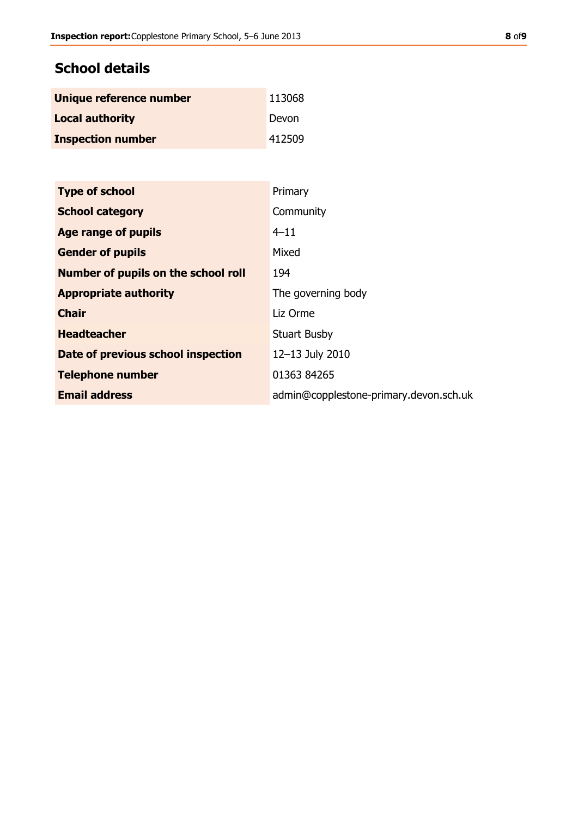### **School details**

| Unique reference number  | 113068 |
|--------------------------|--------|
| <b>Local authority</b>   | Devon  |
| <b>Inspection number</b> | 412509 |

| <b>Type of school</b>               | Primary                                |
|-------------------------------------|----------------------------------------|
| <b>School category</b>              | Community                              |
| Age range of pupils                 | $4 - 11$                               |
| <b>Gender of pupils</b>             | Mixed                                  |
| Number of pupils on the school roll | 194                                    |
| <b>Appropriate authority</b>        | The governing body                     |
| <b>Chair</b>                        | Liz Orme                               |
| <b>Headteacher</b>                  | <b>Stuart Busby</b>                    |
| Date of previous school inspection  | 12-13 July 2010                        |
| <b>Telephone number</b>             | 01363 84265                            |
| <b>Email address</b>                | admin@copplestone-primary.devon.sch.uk |